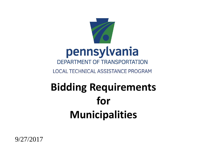

9/27/2017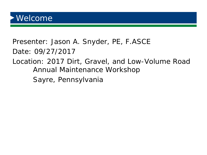Presenter: Jason A. Snyder, PE, F.ASCE Date: 09/27/2017

#### Location: 2017 Dirt, Gravel, and Low-Volume Road Annual Maintenance Workshop

Sayre, Pennsylvania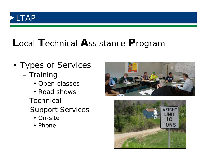## LTAP

## Local Technical Assistance Program

- Types of Services - Training
	- Open classes
	- Road shows
	- Technical **Support Services** 
		- On-site
		- Phone



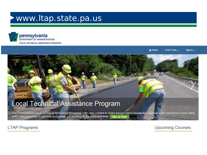#### www.ltap.state.pa.us



pennsylvania DEPARTMENT OF TRANSPORTATION LOCAL TECHNICAL ASSISTANCE PROGRAM

> <del>A</del> Home **LTAP Tools** Sign In  $\sim$

> > **LTN LLD**

#### **Local Technical Assistance Program**

The Pennsylvania Local Technical Assistance Program(LTAP) was created to share transportation knowledge, improve road maintenance and safety skills, and put research and new technology into practice at the municipal level. Sign up today

**STAGE** 

**LTAP Programs** 

versoli Ran

**Upcoming Courses**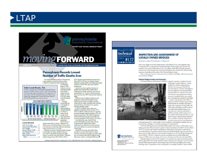## LTAP



#### **Pennsylvania Records Lowest Number of Traffic Deaths Ever**

began in 1928.

from  $32,040$ 

Accidents on local

roads also dropped

crashes with 201

fatalities in 2012

to 31,567 crashes

with 183 fatalities

.<br>said Secretary of

The number of highway deaths on Pennsylvania roads tumbled to a record low last year when 1,208 were recorded, the lowest number since recordkeeping

Transportation Barry J. Schoch. "However, our

in many types of crashes, significant decreases

were noted in unbuckled, speeding, and single-

fatalities dropped from 503 in 2012 to 425 in

vehicle, run-off-the-road related deaths. Unbuckled

using common sense on our roads."

efforts cannot reach their potential if drivers refuse

to do their part by observing traffic laws and always

Although the number of highway deaths dropped

#### **Safer Local Roads, Too**

Crashes on local roads in Pennsylvania dropped last vear. going from 32,040 in 2012 to 31,567 in 2013. This included 176 fatal crashes with 183 fatalities in 2013 down from 192 fatal crashes with 201 fatalities the prior year. Major-injury crashes also dropped from 724 with 800 major injuries in 2012 to 600 with 689 major injuries last year.



#### ALSO IN THIS ISSUE

Safer Trail Crossings... Transportation News Briefs....5 **STIC Spotlight Advisory Member Profile Upcoming Workshops.. Refore & After Build a Better Mousetrap** Winner

2013. Speeding-related fatalities decreased from 262 in 2012 to 193 last year. Likewise, deaths attributed to single-vehicle, run-off-the-road crashes declined to 566 in 2013, down from 648 the previous year.

Another area where significant decreases in fatalities were noted involved crashes with a drinking driver. Deaths caused by drunk drivers decreased from 377 in 2012 to 342 last year, the lowest number since 1997 when this data collection beyan

While decreases in highway deaths are to be applauded, unfortunately Pennsylvania also experienced an increase in fatalities caused by certain types of crashes, including those involving distracted drivers and in head-on or oppositedirection sideswipe crashes.

In 2013, 64 fatalities from crashes were attributed to distracted drivers, up from 57 in 2012. In addition, deaths in head-on or oppositedirection sideswipe crashes increased to 178, a 20 percent increase from 148 in 2012. Fatalities in crashes involving drivers ages 75 and older also increased, going from 126 in 2012 to 142 last year.

Over the last five years, PennDOT has invested \$50 million for safety improvements at approximately 4,000 locations. These improvements include low-cost safety measures such as the addition of centerline and edge-line rumble strips.

PennDOT also invests about \$20 million annually in state and federal funds for safety education and enforcement efforts statewide. Safety tips can be found at PennDOT's highway safety information website, www.JustDrivePA.com.

400 North Street, 6th Floor . Harrisburg, PA 17120 . 1-800-FOR-LTAP . FAX 717-783-9152 . www.ltap.state.pa.us



#### **INSPECTION AND ASSESSMENT OF LOCALLY OWNED BRIDGES**

by Ronald J. Ladyka, PE and Benjamin T. Wigton, EIT

Prior to the collapse of the Silver Bridge between Point Pleasant, W.Va., and Gallipolis, Ohio, in December 1967, a comprehensive, nationwide database on the number, type, location, and condition of the nation's bridges did not exist. The collapse, which killed 46 people, generated national concern about bridge safety and prompted legislation that mandated the National Bridge Inspection Standards and the creation of the National Bridge Inventory.

This tech sheet, the second in a three-part series on locally owned bridges, will review inspection and assessment of bridges.

#### **National Bridge Inventory and Inspection**

The Federal Highway Administration (FHWA) is required to maintain a complete inventory



of all bridges on public highways. A bridge is defined as a vehicle-carrying structure that has a total span greater than 20 feet measured along the centerline of the highway. One major function of the National Bridge Inventory (NBI) is to maintain data related to the location, type and geometry, features intersected, responsible owner, age, material type, and design-load capacity for each bridge.

Another major purpose of the NBI is to maintain condition or bridge inspection data, which describes the condition and capacity of the major components of each bridge. The NBIS requires all bridges on public roadways to be inspected by qualified inspectors on a two-year cycle. Inventory information is verified or updated, and the inspectors rate the condition of the bridge elements on a scale from 0 (closed or failed condition) through 9 (new or excellent condition). Information is provided every year by each state department

of transportation (DOT), which enables FHWA to update the NBI database. Database users can assess the status of bridges on a state-by-state basis or on a national level.

The National Bridge Inspection Standards (NBIS) regulate the inspection of all publicly owned bridges greater than 20 feet in length on public roadways. According to PennDOT's website (March 2016), 2,141 of the 6,487 locally owned bridges in Pennsylvania, or 33 percent of the total, are structurally deficient. Pennsylvania administers the federal National Bridge Inspection Standards, as they pertain to bridges within the commonwealth, through the use of its own Bridge Management System (BMS2). PennDOT employees or private consultants who are certified bridge safety inspectors (CBSI) inspect and manage the inventory and inspection information by using BMS2.

Although bridges less than 20 feet in length are not required to be inspected and inventoried by federal requirements, these bridges should be inspected using the same inspection criteria. Exclusion from the federal program does not release bridge owners from safety and liability issues or from the bridge owners' responsibility to the traveling public. For example, PennDOT inspects 10,000



Harrisburg, PA 17120 1-800-FOR-LTAP . FAX (717) 783-9152 www.ltap.state.pa.us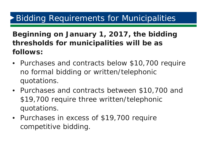#### **Beginning on January 1, 2017, the bidding thresholds for municipalities will be as follows:**

- Purchases and contracts below \$10,700 require no formal bidding or written/telephonic quotations.
- Purchases and contracts between \$10,700 and \$19,700 require three written/telephonic quotations.
- Purchases in excess of \$19,700 require competitive bidding.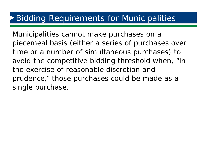Municipalities cannot make purchases on a piecemeal basis (either a series of purchases over time or a number of simultaneous purchases) to avoid the competitive bidding threshold when, "in the exercise of reasonable discretion and prudence," those purchases could be made as a single purchase.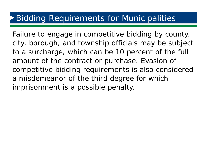Failure to engage in competitive bidding by county, city, borough, and township officials may be subject to a surcharge, which can be 10 percent of the full amount of the contract or purchase. Evasion of competitive bidding requirements is also considered a misdemeanor of the third degree for which imprisonment is a possible penalty.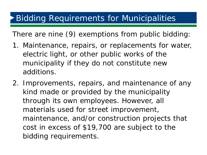There are nine (9) exemptions from public bidding:

- 1. Maintenance, repairs, or replacements for water, electric light, or other public works of the municipality if they do not constitute new additions.
- 2. Improvements, repairs, and maintenance of any kind made or provided by the municipality through its own employees. However, all materials used for street improvement, maintenance, and/or construction projects that cost in excess of \$19,700 are subject to the bidding requirements.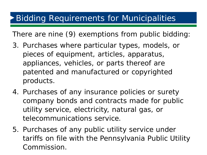There are nine (9) exemptions from public bidding:

- 3. Purchases where particular types, models, or pieces of equipment, articles, apparatus, appliances, vehicles, or parts thereof are patented and manufactured or copyrighted products.
- 4. Purchases of any insurance policies or surety company bonds and contracts made for public utility service, electricity, natural gas, or telecommunications service.
- 5. Purchases of any public utility service under tariffs on file with the Pennsylvania Public Utility Commission.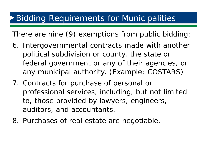There are nine (9) exemptions from public bidding:

- 6. Intergovernmental contracts made with another political subdivision or county, the state or federal government or any of their agencies, or any municipal authority. (Example: COSTARS)
- 7. Contracts for purchase of personal or professional services, including, but not limited to, those provided by lawyers, engineers, auditors, and accountants.
- 8. Purchases of real estate are negotiable.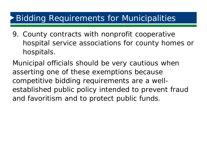9. County contracts with nonprofit cooperative hospital service associations for county homes or hospitals.

Municipal officials should be very cautious when asserting one of these exemptions because competitive bidding requirements are a wellestablished public policy intended to prevent fraud and favoritism and to protect public funds.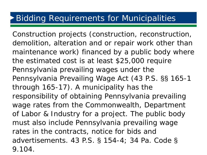Construction projects (construction, reconstruction, demolition, alteration and or repair work *other than maintenance work*) financed by a public body where the estimated cost is at least \$25,000 require Pennsylvania prevailing wages under the Pennsylvania Prevailing Wage Act (43 P.S. §§ 165-1 through 165-17). *A municipality has the responsibility of obtaining Pennsylvania prevailing wage rates from the Commonwealth, Department of Labor & Industry for a project. The public body must also include Pennsylvania prevailing wage rates in the contracts, notice for bids and advertisements.* 43 P.S. § 154-4; 34 Pa. Code § 9.104.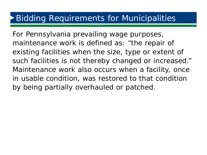For Pennsylvania prevailing wage purposes, *maintenance work* is defined as: "the repair of existing facilities when the size, type or extent of such facilities is not thereby changed or increased." Maintenance work also occurs when a facility, once in usable condition, was restored to that condition by being partially overhauled or patched.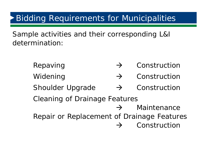Sample activities and their corresponding L&I determination:

> Repaving  $\rightarrow$  Construction Widening  $\rightarrow$  Construction Shoulder Upgrade  $\rightarrow$  Construction Cleaning of Drainage Features  $\rightarrow$  Maintenance Repair or Replacement of Drainage Features  $\rightarrow$  Construction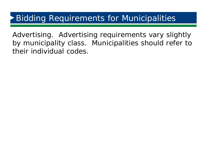Advertising. Advertising requirements vary slightly by municipality class. Municipalities should refer to their individual codes.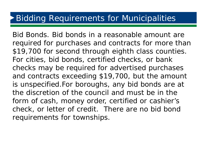Bid Bonds. Bid bonds in a reasonable amount are required for purchases and contracts for more than \$19,700 for second through eighth class counties. For cities, bid bonds, certified checks, or bank checks may be required for advertised purchases and contracts exceeding \$19,700, but the amount is unspecified.For boroughs, any bid bonds are at the discretion of the council and must be in the form of cash, money order, certified or cashier's check, or letter of credit. There are no bid bond requirements for townships.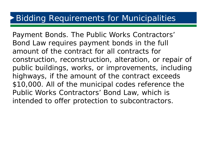Payment Bonds. The Public Works Contractors' Bond Law requires payment bonds in the full amount of the contract for all contracts for construction, reconstruction, alteration, or repair of public buildings, works, or improvements, including highways, if the amount of the contract exceeds \$10,000. All of the municipal codes reference the Public Works Contractors' Bond Law, which is intended to offer protection to subcontractors.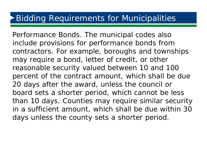Performance Bonds. The municipal codes also include provisions for performance bonds from contractors. For example, boroughs and townships may require a bond, letter of credit, or other reasonable security valued between 10 and 100 percent of the contract amount, which shall be due 20 days after the award, unless the council or board sets a shorter period, which cannot be less than 10 days. Counties may require similar security in a sufficient amount, which shall be due within 30 days unless the county sets a shorter period.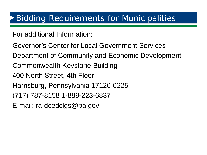For additional Information:

- Governor's Center for Local Government Services
- Department of Community and Economic Development
- Commonwealth Keystone Building
- 400 North Street, 4th Floor
- Harrisburg, Pennsylvania 17120-0225
- (717) 787-8158 1-888-223-6837
- E-mail: ra-dcedclgs@pa.gov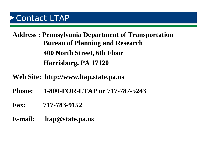## Contact LTAP

**Address : Pennsylvania Department of Transportation Bureau of Planning and Research 400 North Street, 6th Floor Harrisburg, PA 17120** 

- **Web Site: http://www.ltap.state.pa.us**
- **Phone: 1-800-FOR-LTAP or 717-787-5243**
- **Fax: 717-783-9152**
- **E-mail: ltap@state.pa.us**